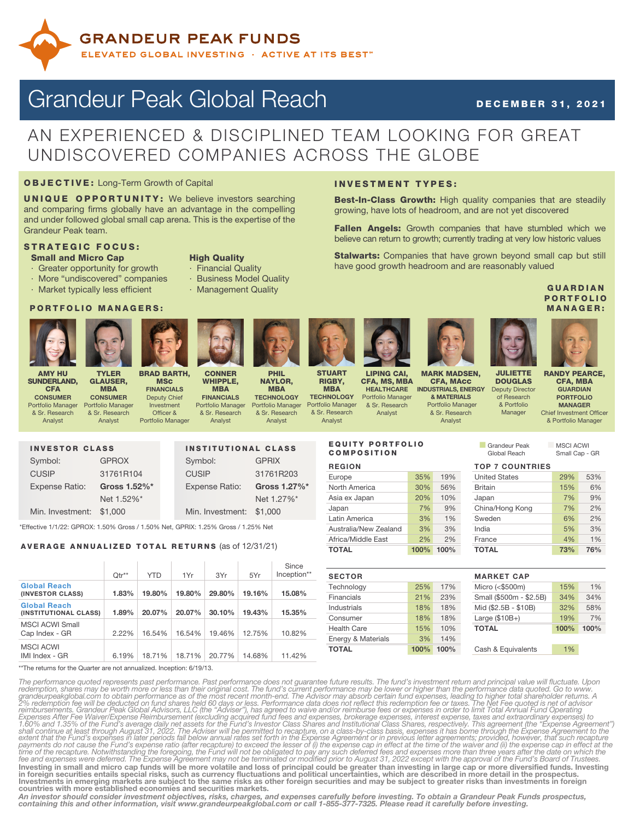

# Grandeur Peak Global Reach December 31, 2021

## AN EXPERIENCED & DISCIPLINED TEAM LOOKING FOR GREAT UNDISCOVERED COMPANIES ACROSS THE GLOBE

## OBJECTIVE: Long-Term Growth of Capital

UNIQUE OPPORTUNITY: We believe investors searching and comparing firms globally have an advantage in the compelling and under followed global small cap arena. This is the expertise of the Grandeur Peak team.

### STRATEGIC FOCUS: **Small and Micro Cap High Quality**

- 
- Greater opportunity for growth · Financial Quality
- More "undiscovered" companies · Business Model Quality
- · Market typically less efficient Management Quality

### PORTFOLIO MANAGERS:

TYLER GLAUSER, MBA **CONSUMER** Portfolio Manager & Sr. Research Analyst



AMY HU SUNDERLAND, **CFA CONSUMER** Portfolio Manager & Sr. Research Analyst





BRAD BARTH, **MSc FINANCIALS** Deputy Chief Investment Officer & Portfolio Manager



PHIL NAYLOR, MBA **TECHNOLOGY** Portfolio Manager & Sr. Research

Analyst

**STUART** RIGBY, **MRA TECHNOLOGY** Portfolio Manager

& Sr. Research Analyst



LIPING CAI, CFA, MS, MBA **HEALTHCARE** Portfolio Manager & Sr. Research Analyst

**INVESTMENT TYPES:** 

EQUITY PORTFOLIO COMPOSITION



MARK MADSEN, CFA, MAcc INDUSTRIALS, ENERGY & MATERIALS Portfolio Manage & Sr. Research Analyst

**Best-In-Class Growth:** High quality companies that are steadily

Fallen Angels: Growth companies that have stumbled which we believe can return to growth; currently trading at very low historic values Stalwarts: Companies that have grown beyond small cap but still

growing, have lots of headroom, and are not yet discovered

have good growth headroom and are reasonably valued

**GUARDIAN PORTFOLIO** MANAGER:

RANDY PEARCE, CFA, MBA JULIETTE DOUGLAS Deputy Director of Research & Portfolio

**GUARDIAN** PORTFOLIO MANAGER estment Officer blio Manager

| anayer | <b>Criter trive</b> |
|--------|---------------------|
|        | & Portf             |
|        |                     |

**n Grandeur Peak 1988 MSCI ACWI**<br>Global Reach 1988 Small Cap -

Small Cap - GR

REGION TOP 7 COUNTRIES

 $M<sub>i</sub>$ 

| <b>TOTAL</b>          | 100% | 100% | <b>TOTAL</b>         | 73% | 76% |
|-----------------------|------|------|----------------------|-----|-----|
| Africa/Middle East    | 2%   | 2%   | France               | 4%  | 1%  |
| Australia/New Zealand | 3%   | 3%   | India                | 5%  | 3%  |
| Latin America         | 3%   | 1%   | Sweden               | 6%  | 2%  |
| Japan                 | 7%   | 9%   | China/Hong Kong      | 7%  | 2%  |
| Asia ex Japan         | 20%  | 10%  | Japan                | 7%  | 9%  |
| North America         | 30%  | 56%  | <b>Britain</b>       | 15% | 6%  |
| Europe                | 35%  | 19%  | <b>United States</b> | 29% | 53% |
|                       |      |      |                      |     |     |

| <b>SECTOR</b>      |      |      | <b>MARKET CAP</b>       |      |      |
|--------------------|------|------|-------------------------|------|------|
| Technology         | 25%  | 17%  | Micro $(<$ \$500m)      | 15%  | 1%   |
| Financials         | 21%  | 23%  | Small (\$500m - \$2.5B) | 34%  | 34%  |
| Industrials        | 18%  | 18%  | Mid (\$2.5B - \$10B)    | 32%  | 58%  |
| Consumer           | 18%  | 18%  | Large $($10B+)$         | 19%  | 7%   |
| <b>Health Care</b> | 15%  | 10%  | <b>TOTAL</b>            | 100% | 100% |
| Energy & Materials | 3%   | 14%  |                         |      |      |
| <b>TOTAL</b>       | 100% | 100% | Cash & Equivalents      | 1%   |      |
|                    |      |      |                         |      |      |

The performance quoted represents past performance. Past performance does not quarantee future results. The fund's investment return and principal value will fluctuate. Upon redemption, shares may be worth more or less tha Investing in small and micro cap funds will be more volatile and loss of principal could be greater than investing in large cap or more diversified funds. Investing in foreign securities entails special risks, such as currency fluctuations and political uncertainties, which are described in more detail in the prospectus.<br>Investments in emerging markets are subject to the same risks as

An investor should consider investment objectives, risks, charges, and expenses carefully before investing. To obtain a Grandeur Peak Funds prospectus,<br>containing this and other information, visit www.grandeurpeakglobal.co



Min. Investment: \$1,000

#### INVESTOR CLASS Symbol: GPROX CUSIP 31761R104 Expense Ratio: Gross 1.52%\* Net 1.52%\* INSTITUTIONAL CLASS Symbol: GPRIX CUSIP 31761R203 Expense Ratio: Gross 1.27%\* Net 1.27%\*

\*Effective 1/1/22: GPROX: 1.50% Gross / 1.50% Net, GPRIX: 1.25% Gross / 1.25% Net

Min. Investment: \$1,000

### AVERAGE ANNUALIZED TOTAL RETURNS (as of 12/31/21)

|                                              | $Qtr**$  | <b>YTD</b> | 1Yr    | 3Yr    | 5Yr    | Since<br>Inception** |
|----------------------------------------------|----------|------------|--------|--------|--------|----------------------|
| <b>Global Reach</b><br>(INVESTOR CLASS)      | 1.83%    | 19.80%     | 19.80% | 29.80% | 19.16% | 15.08%               |
| <b>Global Reach</b><br>(INSTITUTIONAL CLASS) | 1.89%    | 20.07%     | 20.07% | 30.10% | 19.43% | 15.35%               |
| <b>MSCI ACWI Small</b><br>Cap Index - GR     | $2.22\%$ | 16.54%     | 16.54% | 19.46% | 12.75% | 10.82%               |
| <b>MSCI ACWI</b><br>IMI Index - GR           | 6.19%    | 18.71%     | 18.71% | 20.77% | 14.68% | 11.42%               |

\*\*The returns for the Quarter are not annualized. Inception: 6/19/13.